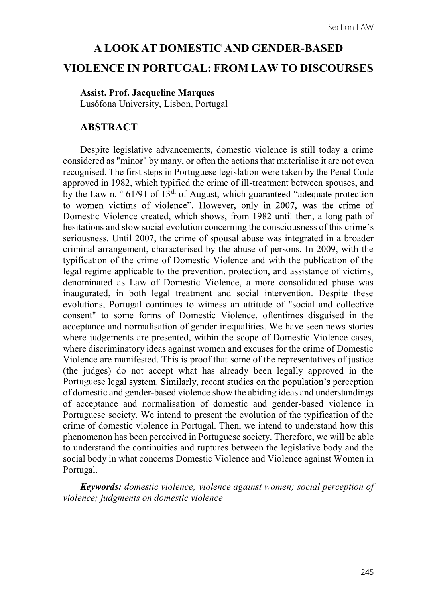# A LOOK AT DOMESTIC AND GENDER-BASED VIOLENCE IN PORTUGAL: FROM LAW TO DISCOURSES

#### Assist. Prof. Jacqueline Marques

Lusófona University, Lisbon, Portugal

#### ABSTRACT

Despite legislative advancements, domestic violence is still today a crime considered as "minor" by many, or often the actions that materialise it are not even recognised. The first steps in Portuguese legislation were taken by the Penal Code approved in 1982, which typified the crime of ill-treatment between spouses, and by the Law n.  $\degree$  61/91 of 13<sup>th</sup> of August, which guaranteed "adequate protection" to women victims of violence". However, only in 2007, was the crime of Domestic Violence created, which shows, from 1982 until then, a long path of hesitations and slow social evolution concerning the consciousness of this crime's seriousness. Until 2007, the crime of spousal abuse was integrated in a broader criminal arrangement, characterised by the abuse of persons. In 2009, with the typification of the crime of Domestic Violence and with the publication of the legal regime applicable to the prevention, protection, and assistance of victims, denominated as Law of Domestic Violence, a more consolidated phase was inaugurated, in both legal treatment and social intervention. Despite these evolutions, Portugal continues to witness an attitude of "social and collective consent" to some forms of Domestic Violence, oftentimes disguised in the acceptance and normalisation of gender inequalities. We have seen news stories where judgements are presented, within the scope of Domestic Violence cases, where discriminatory ideas against women and excuses for the crime of Domestic Violence are manifested. This is proof that some of the representatives of justice (the judges) do not accept what has already been legally approved in the Portuguese legal system. Similarly, recent studies on the population's perception of domestic and gender-based violence show the abiding ideas and understandings of acceptance and normalisation of domestic and gender-based violence in Portuguese society. We intend to present the evolution of the typification of the crime of domestic violence in Portugal. Then, we intend to understand how this phenomenon has been perceived in Portuguese society. Therefore, we will be able to understand the continuities and ruptures between the legislative body and the social body in what concerns Domestic Violence and Violence against Women in Portugal.

Keywords: domestic violence; violence against women; social perception of violence; judgments on domestic violence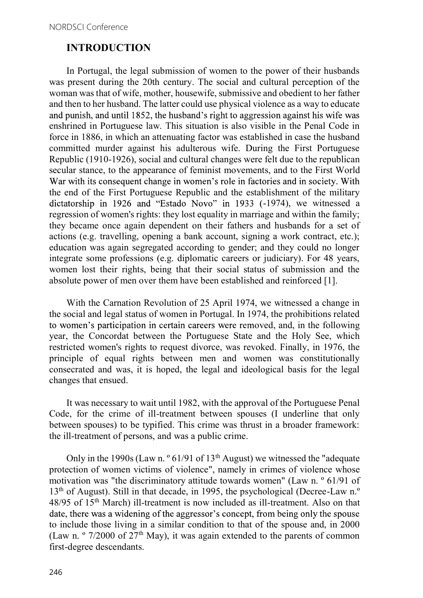### INTRODUCTION

In Portugal, the legal submission of women to the power of their husbands was present during the 20th century. The social and cultural perception of the woman was that of wife, mother, housewife, submissive and obedient to her father and then to her husband. The latter could use physical violence as a way to educate and punish, and until 1852, the husband's right to aggression against his wife was enshrined in Portuguese law. This situation is also visible in the Penal Code in force in 1886, in which an attenuating factor was established in case the husband committed murder against his adulterous wife. During the First Portuguese Republic (1910-1926), social and cultural changes were felt due to the republican secular stance, to the appearance of feminist movements, and to the First World War with its consequent change in women's role in factories and in society. With the end of the First Portuguese Republic and the establishment of the military dictatorship in 1926 and "Estado Novo" in 1933 (-1974), we witnessed a regression of women's rights: they lost equality in marriage and within the family; they became once again dependent on their fathers and husbands for a set of actions (e.g. travelling, opening a bank account, signing a work contract, etc.); education was again segregated according to gender; and they could no longer integrate some professions (e.g. diplomatic careers or judiciary). For 48 years, women lost their rights, being that their social status of submission and the absolute power of men over them have been established and reinforced [1].

With the Carnation Revolution of 25 April 1974, we witnessed a change in the social and legal status of women in Portugal. In 1974, the prohibitions related to women's participation in certain careers were removed, and, in the following year, the Concordat between the Portuguese State and the Holy See, which restricted women's rights to request divorce, was revoked. Finally, in 1976, the principle of equal rights between men and women was constitutionally consecrated and was, it is hoped, the legal and ideological basis for the legal changes that ensued.

It was necessary to wait until 1982, with the approval of the Portuguese Penal Code, for the crime of ill-treatment between spouses (I underline that only between spouses) to be typified. This crime was thrust in a broader framework: the ill-treatment of persons, and was a public crime.

Only in the 1990s (Law n.  $\degree$  61/91 of 13<sup>th</sup> August) we witnessed the "adequate" protection of women victims of violence", namely in crimes of violence whose motivation was "the discriminatory attitude towards women" (Law n. º 61/91 of 13<sup>th</sup> of August). Still in that decade, in 1995, the psychological (Decree-Law n.<sup>o</sup> 48/95 of 15th March) ill-treatment is now included as ill-treatment. Also on that date, there was a widening of the aggressor's concept, from being only the spouse to include those living in a similar condition to that of the spouse and, in 2000 (Law n.  $\degree$  7/2000 of 27<sup>th</sup> May), it was again extended to the parents of common first-degree descendants.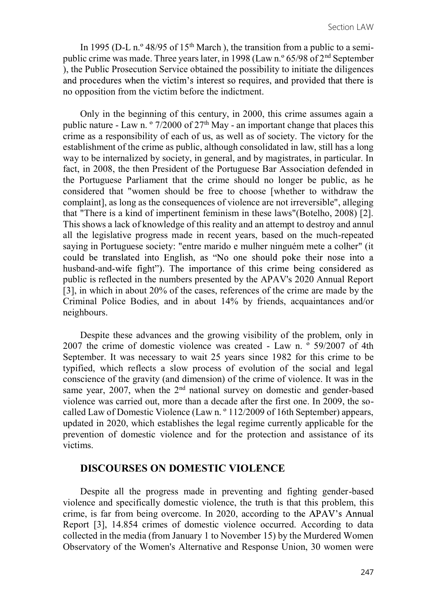In 1995 (D-L n.<sup>o</sup> 48/95 of 15<sup>th</sup> March), the transition from a public to a semipublic crime was made. Three years later, in 1998 (Law n.º 65/98 of 2nd September ), the Public Prosecution Service obtained the possibility to initiate the diligences and procedures when the victim's interest so requires, and provided that there is no opposition from the victim before the indictment.

Only in the beginning of this century, in 2000, this crime assumes again a public nature - Law n.  $\degree$  7/2000 of 27<sup>th</sup> May - an important change that places this crime as a responsibility of each of us, as well as of society. The victory for the establishment of the crime as public, although consolidated in law, still has a long way to be internalized by society, in general, and by magistrates, in particular. In fact, in 2008, the then President of the Portuguese Bar Association defended in the Portuguese Parliament that the crime should no longer be public, as he considered that "women should be free to choose [whether to withdraw the complaint], as long as the consequences of violence are not irreversible", alleging that "There is a kind of impertinent feminism in these laws"(Botelho, 2008) [2]. This shows a lack of knowledge of this reality and an attempt to destroy and annul all the legislative progress made in recent years, based on the much-repeated saying in Portuguese society: "entre marido e mulher ninguém mete a colher" (it could be translated into English, as "No one should poke their nose into a husband-and-wife fight"). The importance of this crime being considered as public is reflected in the numbers presented by the APAV's 2020 Annual Report [3], in which in about 20% of the cases, references of the crime are made by the Criminal Police Bodies, and in about 14% by friends, acquaintances and/or neighbours.

Despite these advances and the growing visibility of the problem, only in 2007 the crime of domestic violence was created - Law n. º 59/2007 of 4th September. It was necessary to wait 25 years since 1982 for this crime to be typified, which reflects a slow process of evolution of the social and legal conscience of the gravity (and dimension) of the crime of violence. It was in the same year, 2007, when the 2<sup>nd</sup> national survey on domestic and gender-based violence was carried out, more than a decade after the first one. In 2009, the socalled Law of Domestic Violence (Law n. º 112/2009 of 16th September) appears, updated in 2020, which establishes the legal regime currently applicable for the prevention of domestic violence and for the protection and assistance of its victims.

#### DISCOURSES ON DOMESTIC VIOLENCE

Despite all the progress made in preventing and fighting gender-based violence and specifically domestic violence, the truth is that this problem, this crime, is far from being overcome. In 2020, according to the APAV's Annual Report [3], 14.854 crimes of domestic violence occurred. According to data collected in the media (from January 1 to November 15) by the Murdered Women Observatory of the Women's Alternative and Response Union, 30 women were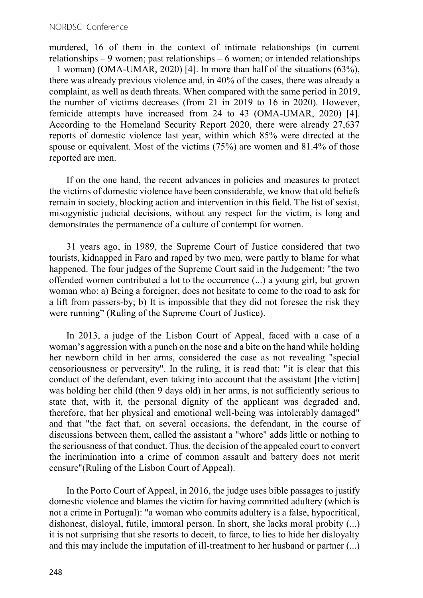murdered, 16 of them in the context of intimate relationships (in current relationships  $-9$  women; past relationships  $-6$  women; or intended relationships  $-1$  woman) (OMA-UMAR, 2020) [4]. In more than half of the situations (63%), there was already previous violence and, in 40% of the cases, there was already a complaint, as well as death threats. When compared with the same period in 2019, the number of victims decreases (from 21 in 2019 to 16 in 2020). However, femicide attempts have increased from 24 to 43 (OMA-UMAR, 2020) [4]. According to the Homeland Security Report 2020, there were already 27,637 reports of domestic violence last year, within which 85% were directed at the spouse or equivalent. Most of the victims (75%) are women and 81.4% of those reported are men.

If on the one hand, the recent advances in policies and measures to protect the victims of domestic violence have been considerable, we know that old beliefs remain in society, blocking action and intervention in this field. The list of sexist, misogynistic judicial decisions, without any respect for the victim, is long and demonstrates the permanence of a culture of contempt for women.

31 years ago, in 1989, the Supreme Court of Justice considered that two tourists, kidnapped in Faro and raped by two men, were partly to blame for what happened. The four judges of the Supreme Court said in the Judgement: "the two offended women contributed a lot to the occurrence (...) a young girl, but grown woman who: a) Being a foreigner, does not hesitate to come to the road to ask for a lift from passers-by; b) It is impossible that they did not foresee the risk they were running" (Ruling of the Supreme Court of Justice).

In 2013, a judge of the Lisbon Court of Appeal, faced with a case of a woman's aggression with a punch on the nose and a bite on the hand while holding her newborn child in her arms, considered the case as not revealing "special censoriousness or perversity". In the ruling, it is read that: "it is clear that this conduct of the defendant, even taking into account that the assistant [the victim] was holding her child (then 9 days old) in her arms, is not sufficiently serious to state that, with it, the personal dignity of the applicant was degraded and, therefore, that her physical and emotional well-being was intolerably damaged" and that "the fact that, on several occasions, the defendant, in the course of discussions between them, called the assistant a "whore" adds little or nothing to the seriousness of that conduct. Thus, the decision of the appealed court to convert the incrimination into a crime of common assault and battery does not merit censure"(Ruling of the Lisbon Court of Appeal).

In the Porto Court of Appeal, in 2016, the judge uses bible passages to justify domestic violence and blames the victim for having committed adultery (which is not a crime in Portugal): "a woman who commits adultery is a false, hypocritical, dishonest, disloyal, futile, immoral person. In short, she lacks moral probity (...) it is not surprising that she resorts to deceit, to farce, to lies to hide her disloyalty and this may include the imputation of ill-treatment to her husband or partner (...)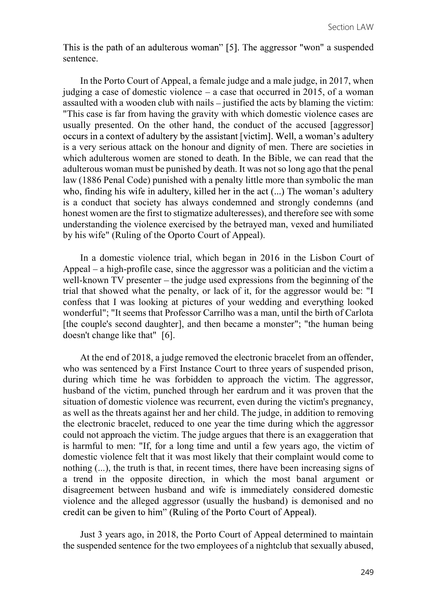This is the path of an adulterous woman" [5]. The aggressor "won" a suspended sentence.

In the Porto Court of Appeal, a female judge and a male judge, in 2017, when judging a case of domestic violence  $-$  a case that occurred in 2015, of a woman assaulted with a wooden club with nails  $-$  justified the acts by blaming the victim: "This case is far from having the gravity with which domestic violence cases are usually presented. On the other hand, the conduct of the accused [aggressor] occurs in a context of adultery by the assistant [victim]. Well, a woman's adultery is a very serious attack on the honour and dignity of men. There are societies in which adulterous women are stoned to death. In the Bible, we can read that the adulterous woman must be punished by death. It was not so long ago that the penal law (1886 Penal Code) punished with a penalty little more than symbolic the man who, finding his wife in adultery, killed her in the act (...) The woman's adultery is a conduct that society has always condemned and strongly condemns (and honest women are the first to stigmatize adulteresses), and therefore see with some understanding the violence exercised by the betrayed man, vexed and humiliated by his wife" (Ruling of the Oporto Court of Appeal).

In a domestic violence trial, which began in 2016 in the Lisbon Court of Appeal  $-$  a high-profile case, since the aggressor was a politician and the victim a well-known  $TV$  presenter  $-\theta$  the judge used expressions from the beginning of the trial that showed what the penalty, or lack of it, for the aggressor would be: "I confess that I was looking at pictures of your wedding and everything looked wonderful"; "It seems that Professor Carrilho was a man, until the birth of Carlota [the couple's second daughter], and then became a monster"; "the human being doesn't change like that" [6].

At the end of 2018, a judge removed the electronic bracelet from an offender, who was sentenced by a First Instance Court to three years of suspended prison, during which time he was forbidden to approach the victim. The aggressor, husband of the victim, punched through her eardrum and it was proven that the situation of domestic violence was recurrent, even during the victim's pregnancy, as well as the threats against her and her child. The judge, in addition to removing the electronic bracelet, reduced to one year the time during which the aggressor could not approach the victim. The judge argues that there is an exaggeration that is harmful to men: "If, for a long time and until a few years ago, the victim of domestic violence felt that it was most likely that their complaint would come to nothing (...), the truth is that, in recent times, there have been increasing signs of a trend in the opposite direction, in which the most banal argument or disagreement between husband and wife is immediately considered domestic violence and the alleged aggressor (usually the husband) is demonised and no credit can be given to him" (Ruling of the Porto Court of Appeal).

Just 3 years ago, in 2018, the Porto Court of Appeal determined to maintain the suspended sentence for the two employees of a nightclub that sexually abused,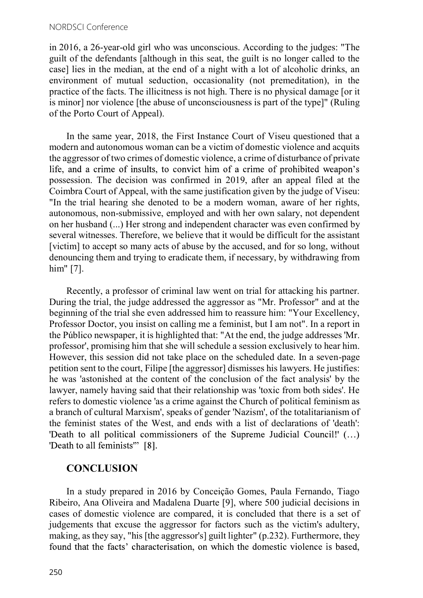in 2016, a 26-year-old girl who was unconscious. According to the judges: "The guilt of the defendants [although in this seat, the guilt is no longer called to the case] lies in the median, at the end of a night with a lot of alcoholic drinks, an environment of mutual seduction, occasionality (not premeditation), in the practice of the facts. The illicitness is not high. There is no physical damage [or it is minor] nor violence [the abuse of unconsciousness is part of the type]" (Ruling of the Porto Court of Appeal).

In the same year, 2018, the First Instance Court of Viseu questioned that a modern and autonomous woman can be a victim of domestic violence and acquits the aggressor of two crimes of domestic violence, a crime of disturbance of private life, and a crime of insults, to convict him of a crime of prohibited weapon's possession. The decision was confirmed in 2019, after an appeal filed at the Coimbra Court of Appeal, with the same justification given by the judge of Viseu: "In the trial hearing she denoted to be a modern woman, aware of her rights, autonomous, non-submissive, employed and with her own salary, not dependent on her husband (...) Her strong and independent character was even confirmed by several witnesses. Therefore, we believe that it would be difficult for the assistant [victim] to accept so many acts of abuse by the accused, and for so long, without denouncing them and trying to eradicate them, if necessary, by withdrawing from him" [7].

Recently, a professor of criminal law went on trial for attacking his partner. During the trial, the judge addressed the aggressor as "Mr. Professor" and at the beginning of the trial she even addressed him to reassure him: "Your Excellency, Professor Doctor, you insist on calling me a feminist, but I am not". In a report in the Público newspaper, it is highlighted that: "At the end, the judge addresses 'Mr. professor', promising him that she will schedule a session exclusively to hear him. However, this session did not take place on the scheduled date. In a seven-page petition sent to the court, Filipe [the aggressor] dismisses his lawyers. He justifies: he was 'astonished at the content of the conclusion of the fact analysis' by the lawyer, namely having said that their relationship was 'toxic from both sides'. He refers to domestic violence 'as a crime against the Church of political feminism as a branch of cultural Marxism', speaks of gender 'Nazism', of the totalitarianism of the feminist states of the West, and ends with a list of declarations of 'death': 'Death to all political commissioners of the Supreme Judicial Council!' (...) 'Death to all feminists" [8].

## **CONCLUSION**

In a study prepared in 2016 by Conceição Gomes, Paula Fernando, Tiago Ribeiro, Ana Oliveira and Madalena Duarte [9], where 500 judicial decisions in cases of domestic violence are compared, it is concluded that there is a set of judgements that excuse the aggressor for factors such as the victim's adultery, making, as they say, "his [the aggressor's] guilt lighter" (p.232). Furthermore, they found that the facts' characterisation, on which the domestic violence is based,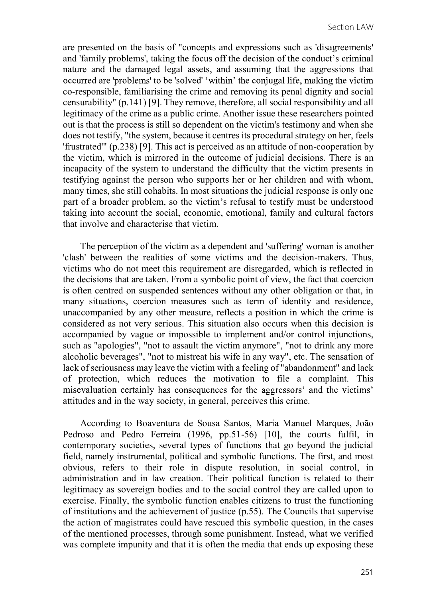are presented on the basis of "concepts and expressions such as 'disagreements' and 'family problems', taking the focus off the decision of the conduct's criminal nature and the damaged legal assets, and assuming that the aggressions that occurred are 'problems' to be 'solved' 'within' the conjugal life, making the victim co-responsible, familiarising the crime and removing its penal dignity and social censurability" (p.141) [9]. They remove, therefore, all social responsibility and all legitimacy of the crime as a public crime. Another issue these researchers pointed out is that the process is still so dependent on the victim's testimony and when she does not testify, "the system, because it centres its procedural strategy on her, feels 'frustrated'" (p.238) [9]. This act is perceived as an attitude of non-cooperation by the victim, which is mirrored in the outcome of judicial decisions. There is an incapacity of the system to understand the difficulty that the victim presents in testifying against the person who supports her or her children and with whom, many times, she still cohabits. In most situations the judicial response is only one part of a broader problem, so the victim's refusal to testify must be understood taking into account the social, economic, emotional, family and cultural factors that involve and characterise that victim.

The perception of the victim as a dependent and 'suffering' woman is another 'clash' between the realities of some victims and the decision-makers. Thus, victims who do not meet this requirement are disregarded, which is reflected in the decisions that are taken. From a symbolic point of view, the fact that coercion is often centred on suspended sentences without any other obligation or that, in many situations, coercion measures such as term of identity and residence, unaccompanied by any other measure, reflects a position in which the crime is considered as not very serious. This situation also occurs when this decision is accompanied by vague or impossible to implement and/or control injunctions, such as "apologies", "not to assault the victim anymore", "not to drink any more alcoholic beverages", "not to mistreat his wife in any way", etc. The sensation of lack of seriousness may leave the victim with a feeling of "abandonment" and lack of protection, which reduces the motivation to file a complaint. This misevaluation certainly has consequences for the aggressors' and the victims' attitudes and in the way society, in general, perceives this crime.

According to Boaventura de Sousa Santos, Maria Manuel Marques, João Pedroso and Pedro Ferreira (1996, pp.51-56) [10], the courts fulfil, in contemporary societies, several types of functions that go beyond the judicial field, namely instrumental, political and symbolic functions. The first, and most obvious, refers to their role in dispute resolution, in social control, in administration and in law creation. Their political function is related to their legitimacy as sovereign bodies and to the social control they are called upon to exercise. Finally, the symbolic function enables citizens to trust the functioning of institutions and the achievement of justice (p.55). The Councils that supervise the action of magistrates could have rescued this symbolic question, in the cases of the mentioned processes, through some punishment. Instead, what we verified was complete impunity and that it is often the media that ends up exposing these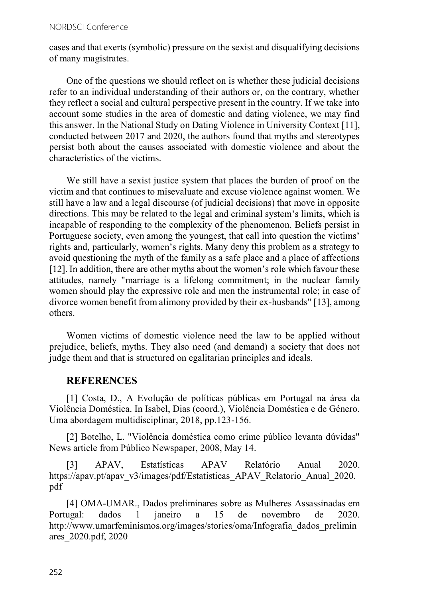#### NORDSCI Conference

cases and that exerts (symbolic) pressure on the sexist and disqualifying decisions of many magistrates.

One of the questions we should reflect on is whether these judicial decisions refer to an individual understanding of their authors or, on the contrary, whether they reflect a social and cultural perspective present in the country. If we take into account some studies in the area of domestic and dating violence, we may find this answer. In the National Study on Dating Violence in University Context [11], conducted between 2017 and 2020, the authors found that myths and stereotypes persist both about the causes associated with domestic violence and about the characteristics of the victims.

We still have a sexist justice system that places the burden of proof on the victim and that continues to misevaluate and excuse violence against women. We still have a law and a legal discourse (of judicial decisions) that move in opposite directions. This may be related to the legal and criminal system's limits, which is incapable of responding to the complexity of the phenomenon. Beliefs persist in Portuguese society, even among the youngest, that call into question the victims' rights and, particularly, women's rights. Many deny this problem as a strategy to avoid questioning the myth of the family as a safe place and a place of affections [12]. In addition, there are other myths about the women's role which favour these attitudes, namely "marriage is a lifelong commitment; in the nuclear family women should play the expressive role and men the instrumental role; in case of divorce women benefit from alimony provided by their ex-husbands" [13], among others.

Women victims of domestic violence need the law to be applied without prejudice, beliefs, myths. They also need (and demand) a society that does not judge them and that is structured on egalitarian principles and ideals.

#### **REFERENCES**

[1] Costa, D., A Evolução de políticas públicas em Portugal na área da Violência Doméstica. In Isabel, Dias (coord.), Violência Doméstica e de Género. Uma abordagem multidisciplinar, 2018, pp.123-156.

[2] Botelho, L. "Violência doméstica como crime público levanta dúvidas" News article from Público Newspaper, 2008, May 14.

[3] APAV, Estatísticas APAV Relatório Anual 2020. https://apav.pt/apav\_v3/images/pdf/Estatisticas\_APAV\_Relatorio\_Anual\_2020. pdf

[4] OMA-UMAR., Dados preliminares sobre as Mulheres Assassinadas em Portugal: dados 1 janeiro a 15 de novembro de 2020. http://www.umarfeminismos.org/images/stories/oma/Infografia\_dados\_prelimin ares\_2020.pdf, 2020